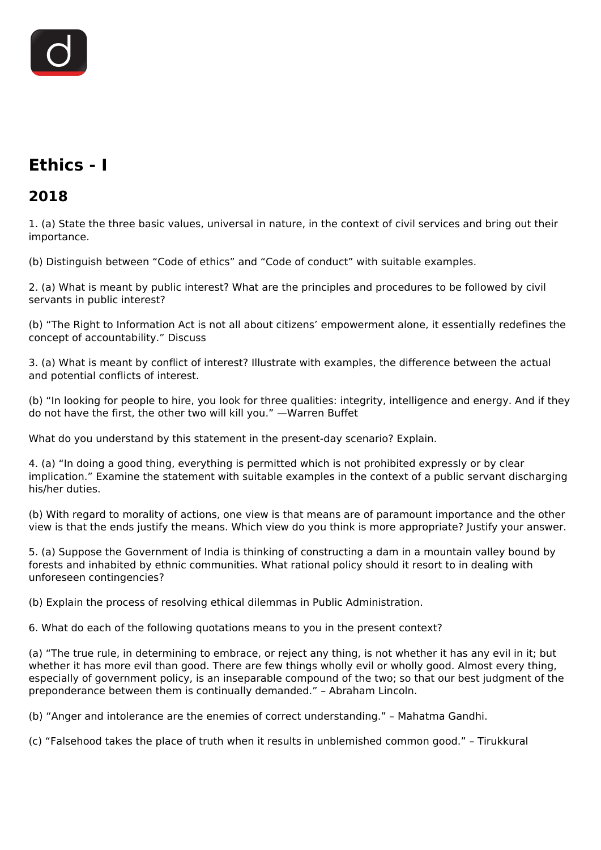

# **Ethics - I**

## **2018**

1. (a) State the three basic values, universal in nature, in the context of civil services and bring out their importance.

(b) Distinguish between "Code of ethics" and "Code of conduct" with suitable examples.

2. (a) What is meant by public interest? What are the principles and procedures to be followed by civil servants in public interest?

(b) "The Right to Information Act is not all about citizens' empowerment alone, it essentially redefines the concept of accountability." Discuss

3. (a) What is meant by conflict of interest? Illustrate with examples, the difference between the actual and potential conflicts of interest.

(b) "In looking for people to hire, you look for three qualities: integrity, intelligence and energy. And if they do not have the first, the other two will kill you." —Warren Buffet

What do you understand by this statement in the present-day scenario? Explain.

4. (a) "In doing a good thing, everything is permitted which is not prohibited expressly or by clear implication." Examine the statement with suitable examples in the context of a public servant discharging his/her duties.

(b) With regard to morality of actions, one view is that means are of paramount importance and the other view is that the ends justify the means. Which view do you think is more appropriate? Justify your answer.

5. (a) Suppose the Government of India is thinking of constructing a dam in a mountain valley bound by forests and inhabited by ethnic communities. What rational policy should it resort to in dealing with unforeseen contingencies?

(b) Explain the process of resolving ethical dilemmas in Public Administration.

6. What do each of the following quotations means to you in the present context?

(a) "The true rule, in determining to embrace, or reject any thing, is not whether it has any evil in it; but whether it has more evil than good. There are few things wholly evil or wholly good. Almost every thing, especially of government policy, is an inseparable compound of the two; so that our best judgment of the preponderance between them is continually demanded." – Abraham Lincoln.

(b) "Anger and intolerance are the enemies of correct understanding." – Mahatma Gandhi.

(c) "Falsehood takes the place of truth when it results in unblemished common good." – Tirukkural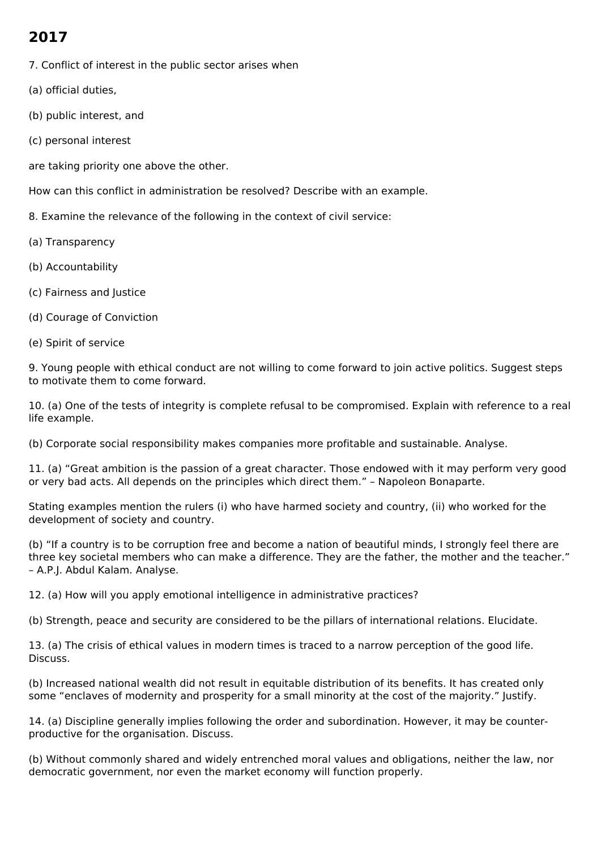# **2017**

- 7. Conflict of interest in the public sector arises when
- (a) official duties,
- (b) public interest, and
- (c) personal interest
- are taking priority one above the other.

How can this conflict in administration be resolved? Describe with an example.

- 8. Examine the relevance of the following in the context of civil service:
- (a) Transparency
- (b) Accountability
- (c) Fairness and Justice
- (d) Courage of Conviction
- (e) Spirit of service

9. Young people with ethical conduct are not willing to come forward to join active politics. Suggest steps to motivate them to come forward.

10. (a) One of the tests of integrity is complete refusal to be compromised. Explain with reference to a real life example.

(b) Corporate social responsibility makes companies more profitable and sustainable. Analyse.

11. (a) "Great ambition is the passion of a great character. Those endowed with it may perform very good or very bad acts. All depends on the principles which direct them." – Napoleon Bonaparte.

Stating examples mention the rulers (i) who have harmed society and country, (ii) who worked for the development of society and country.

(b) "If a country is to be corruption free and become a nation of beautiful minds, I strongly feel there are three key societal members who can make a difference. They are the father, the mother and the teacher." – A.P.J. Abdul Kalam. Analyse.

12. (a) How will you apply emotional intelligence in administrative practices?

(b) Strength, peace and security are considered to be the pillars of international relations. Elucidate.

13. (a) The crisis of ethical values in modern times is traced to a narrow perception of the good life. Discuss.

(b) Increased national wealth did not result in equitable distribution of its benefits. It has created only some "enclaves of modernity and prosperity for a small minority at the cost of the majority." Justify.

14. (a) Discipline generally implies following the order and subordination. However, it may be counterproductive for the organisation. Discuss.

(b) Without commonly shared and widely entrenched moral values and obligations, neither the law, nor democratic government, nor even the market economy will function properly.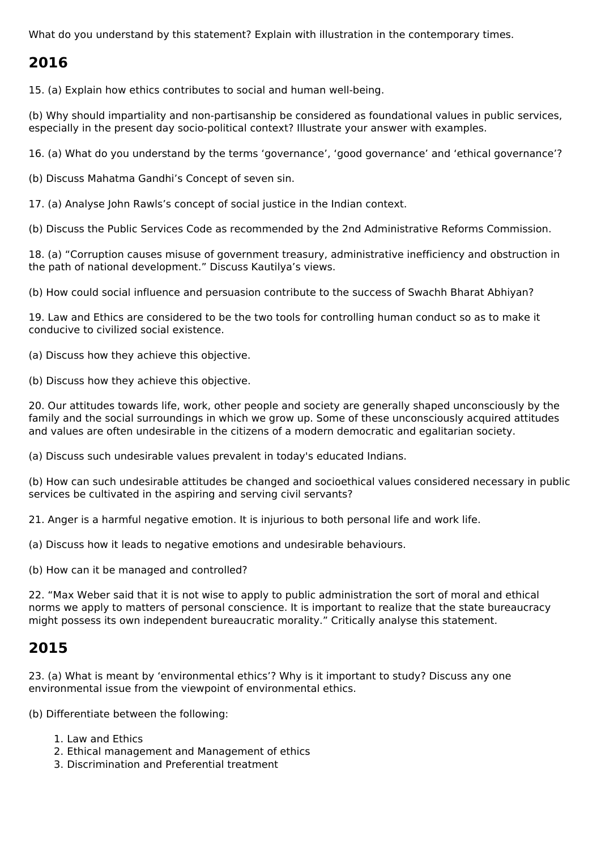What do you understand by this statement? Explain with illustration in the contemporary times.

## **2016**

15. (a) Explain how ethics contributes to social and human well-being.

(b) Why should impartiality and non-partisanship be considered as foundational values in public services, especially in the present day socio-political context? Illustrate your answer with examples.

16. (a) What do you understand by the terms 'governance', 'good governance' and 'ethical governance'?

(b) Discuss Mahatma Gandhi's Concept of seven sin.

17. (a) Analyse John Rawls's concept of social justice in the Indian context.

(b) Discuss the Public Services Code as recommended by the 2nd Administrative Reforms Commission.

18. (a) "Corruption causes misuse of government treasury, administrative inefficiency and obstruction in the path of national development." Discuss Kautilya's views.

(b) How could social influence and persuasion contribute to the success of Swachh Bharat Abhiyan?

19. Law and Ethics are considered to be the two tools for controlling human conduct so as to make it conducive to civilized social existence.

(a) Discuss how they achieve this objective.

(b) Discuss how they achieve this objective.

20. Our attitudes towards life, work, other people and society are generally shaped unconsciously by the family and the social surroundings in which we grow up. Some of these unconsciously acquired attitudes and values are often undesirable in the citizens of a modern democratic and egalitarian society.

(a) Discuss such undesirable values prevalent in today's educated Indians.

(b) How can such undesirable attitudes be changed and socioethical values considered necessary in public services be cultivated in the aspiring and serving civil servants?

21. Anger is a harmful negative emotion. It is injurious to both personal life and work life.

(a) Discuss how it leads to negative emotions and undesirable behaviours.

(b) How can it be managed and controlled?

22. "Max Weber said that it is not wise to apply to public administration the sort of moral and ethical norms we apply to matters of personal conscience. It is important to realize that the state bureaucracy might possess its own independent bureaucratic morality." Critically analyse this statement.

### **2015**

23. (a) What is meant by 'environmental ethics'? Why is it important to study? Discuss any one environmental issue from the viewpoint of environmental ethics.

(b) Differentiate between the following:

- 1. Law and Ethics
- 2. Ethical management and Management of ethics
- 3. Discrimination and Preferential treatment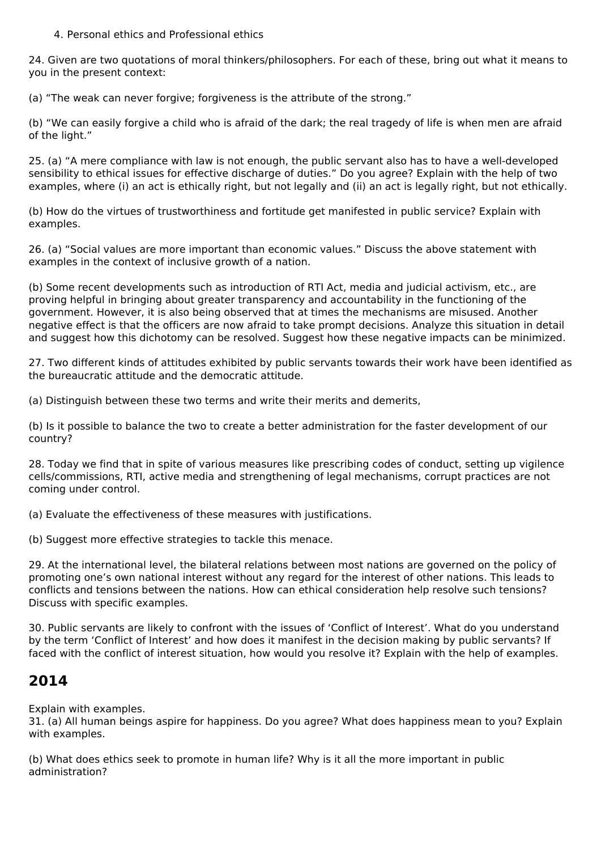4. Personal ethics and Professional ethics

24. Given are two quotations of moral thinkers/philosophers. For each of these, bring out what it means to you in the present context:

(a) "The weak can never forgive; forgiveness is the attribute of the strong."

(b) "We can easily forgive a child who is afraid of the dark; the real tragedy of life is when men are afraid of the light."

25. (a) "A mere compliance with law is not enough, the public servant also has to have a well-developed sensibility to ethical issues for effective discharge of duties." Do you agree? Explain with the help of two examples, where (i) an act is ethically right, but not legally and (ii) an act is legally right, but not ethically.

(b) How do the virtues of trustworthiness and fortitude get manifested in public service? Explain with examples.

26. (a) "Social values are more important than economic values." Discuss the above statement with examples in the context of inclusive growth of a nation.

(b) Some recent developments such as introduction of RTI Act, media and judicial activism, etc., are proving helpful in bringing about greater transparency and accountability in the functioning of the government. However, it is also being observed that at times the mechanisms are misused. Another negative effect is that the officers are now afraid to take prompt decisions. Analyze this situation in detail and suggest how this dichotomy can be resolved. Suggest how these negative impacts can be minimized.

27. Two different kinds of attitudes exhibited by public servants towards their work have been identified as the bureaucratic attitude and the democratic attitude.

(a) Distinguish between these two terms and write their merits and demerits,

(b) Is it possible to balance the two to create a better administration for the faster development of our country?

28. Today we find that in spite of various measures like prescribing codes of conduct, setting up vigilence cells/commissions, RTI, active media and strengthening of legal mechanisms, corrupt practices are not coming under control.

(a) Evaluate the effectiveness of these measures with justifications.

(b) Suggest more effective strategies to tackle this menace.

29. At the international level, the bilateral relations between most nations are governed on the policy of promoting one's own national interest without any regard for the interest of other nations. This leads to conflicts and tensions between the nations. How can ethical consideration help resolve such tensions? Discuss with specific examples.

30. Public servants are likely to confront with the issues of 'Conflict of Interest'. What do you understand by the term 'Conflict of Interest' and how does it manifest in the decision making by public servants? If faced with the conflict of interest situation, how would you resolve it? Explain with the help of examples.

### **2014**

Explain with examples.

31. (a) All human beings aspire for happiness. Do you agree? What does happiness mean to you? Explain with examples.

(b) What does ethics seek to promote in human life? Why is it all the more important in public administration?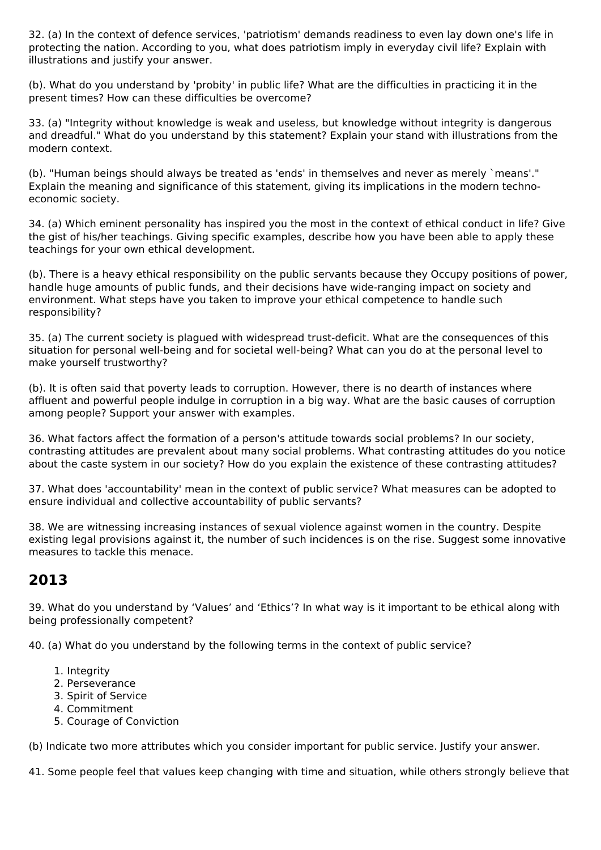32. (a) In the context of defence services, 'patriotism' demands readiness to even lay down one's life in protecting the nation. According to you, what does patriotism imply in everyday civil life? Explain with illustrations and justify your answer.

(b). What do you understand by 'probity' in public life? What are the difficulties in practicing it in the present times? How can these difficulties be overcome?

33. (a) "Integrity without knowledge is weak and useless, but knowledge without integrity is dangerous and dreadful." What do you understand by this statement? Explain your stand with illustrations from the modern context.

(b). "Human beings should always be treated as 'ends' in themselves and never as merely `means'." Explain the meaning and significance of this statement, giving its implications in the modern technoeconomic society.

34. (a) Which eminent personality has inspired you the most in the context of ethical conduct in life? Give the gist of his/her teachings. Giving specific examples, describe how you have been able to apply these teachings for your own ethical development.

(b). There is a heavy ethical responsibility on the public servants because they Occupy positions of power, handle huge amounts of public funds, and their decisions have wide-ranging impact on society and environment. What steps have you taken to improve your ethical competence to handle such responsibility?

35. (a) The current society is plagued with widespread trust-deficit. What are the consequences of this situation for personal well-being and for societal well-being? What can you do at the personal level to make yourself trustworthy?

(b). It is often said that poverty leads to corruption. However, there is no dearth of instances where affluent and powerful people indulge in corruption in a big way. What are the basic causes of corruption among people? Support your answer with examples.

36. What factors affect the formation of a person's attitude towards social problems? In our society, contrasting attitudes are prevalent about many social problems. What contrasting attitudes do you notice about the caste system in our society? How do you explain the existence of these contrasting attitudes?

37. What does 'accountability' mean in the context of public service? What measures can be adopted to ensure individual and collective accountability of public servants?

38. We are witnessing increasing instances of sexual violence against women in the country. Despite existing legal provisions against it, the number of such incidences is on the rise. Suggest some innovative measures to tackle this menace.

# **2013**

39. What do you understand by 'Values' and 'Ethics'? In what way is it important to be ethical along with being professionally competent?

40. (a) What do you understand by the following terms in the context of public service?

- 1. Integrity
- 2. Perseverance
- 3. Spirit of Service
- 4. Commitment
- 5. Courage of Conviction

(b) Indicate two more attributes which you consider important for public service. Justify your answer.

41. Some people feel that values keep changing with time and situation, while others strongly believe that